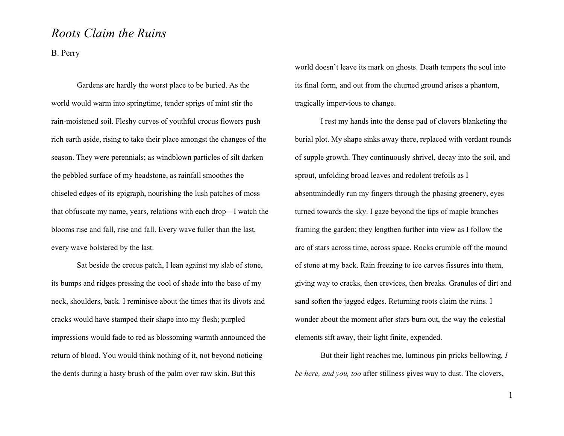## *Roots Claim the Ruins*

B. Perry

Gardens are hardly the worst place to be buried. As the world would warm into springtime, tender sprigs of mint stir the rain-moistened soil. Fleshy curves of youthful crocus flowers push rich earth aside, rising to take their place amongst the changes of the season. They were perennials; as windblown particles of silt darken the pebbled surface of my headstone, as rainfall smoothes the chiseled edges of its epigraph, nourishing the lush patches of moss that obfuscate my name, years, relations with each drop—I watch the blooms rise and fall, rise and fall. Every wave fuller than the last, every wave bolstered by the last.

Sat beside the crocus patch, I lean against my slab of stone, its bumps and ridges pressing the cool of shade into the base of my neck, shoulders, back. I reminisce about the times that its divots and cracks would have stamped their shape into my flesh; purpled impressions would fade to red as blossoming warmth announced the return of blood. You would think nothing of it, not beyond noticing the dents during a hasty brush of the palm over raw skin. But this

world doesn't leave its mark on ghosts. Death tempers the soul into its final form, and out from the churned ground arises a phantom, tragically impervious to change.

I rest my hands into the dense pad of clovers blanketing the burial plot. My shape sinks away there, replaced with verdant rounds of supple growth. They continuously shrivel, decay into the soil, and sprout, unfolding broad leaves and redolent trefoils as I absentmindedly run my fingers through the phasing greenery, eyes turned towards the sky. I gaze beyond the tips of maple branches framing the garden; they lengthen further into view as I follow the arc of stars across time, across space. Rocks crumble off the mound of stone at my back. Rain freezing to ice carves fissures into them, giving way to cracks, then crevices, then breaks. Granules of dirt and sand soften the jagged edges. Returning roots claim the ruins. I wonder about the moment after stars burn out, the way the celestial elements sift away, their light finite, expended.

But their light reaches me, luminous pin pricks bellowing, *I be here, and you, too* after stillness gives way to dust. The clovers,

1